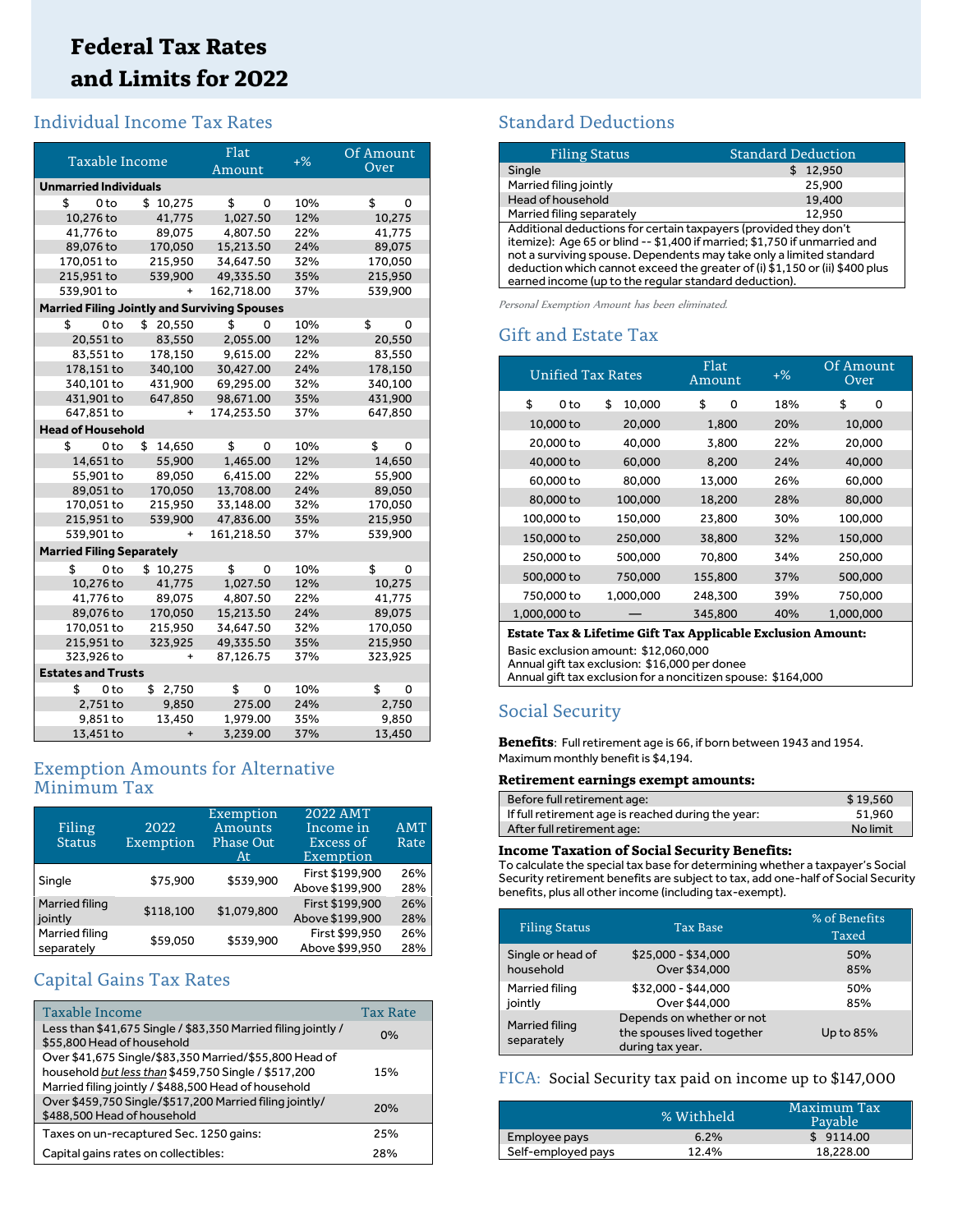## **Federal Tax Rates and Limits for 2022**

## Individual Income Tax Rates

| Taxable Income                                      |                           | Flat<br>Amount | $+$ % | Of Amount<br>Over |  |  |  |
|-----------------------------------------------------|---------------------------|----------------|-------|-------------------|--|--|--|
|                                                     |                           |                |       |                   |  |  |  |
| <b>Unmarried Individuals</b>                        |                           |                |       |                   |  |  |  |
| \$<br>0 <sub>to</sub>                               | \$10,275                  | \$<br>0        | 10%   | \$<br>0           |  |  |  |
| 10,276 to                                           | 41,775                    | 1,027.50       | 12%   | 10,275            |  |  |  |
| 41,776 to                                           | 89,075                    | 4,807.50       | 22%   | 41,775            |  |  |  |
| 89,076 to                                           | 170,050                   | 15,213.50      | 24%   | 89,075            |  |  |  |
| 170,051 to                                          | 215,950                   | 34,647.50      | 32%   | 170,050           |  |  |  |
| 215,951 to                                          | 539,900                   | 49,335.50      | 35%   | 215,950           |  |  |  |
| 539,901 to                                          | $\ddot{}$                 | 162,718.00     | 37%   | 539,900           |  |  |  |
| <b>Married Filing Jointly and Surviving Spouses</b> |                           |                |       |                   |  |  |  |
| \$<br>0 <sub>to</sub>                               | \$20,550                  | \$<br>0        | 10%   | \$<br>0           |  |  |  |
| 20,551 to                                           | 83,550                    | 2,055.00       | 12%   | 20,550            |  |  |  |
| 83,551 to                                           | 178,150                   | 9,615.00       | 22%   | 83,550            |  |  |  |
| 178,151 to                                          | 340,100                   | 30,427.00      | 24%   | 178,150           |  |  |  |
| 340,101 to                                          | 431,900                   | 69,295.00      | 32%   | 340,100           |  |  |  |
| 431,901 to                                          | 647,850                   | 98,671.00      | 35%   | 431,900           |  |  |  |
| 647,851 to                                          | +                         | 174,253.50     | 37%   | 647,850           |  |  |  |
| <b>Head of Household</b>                            |                           |                |       |                   |  |  |  |
| \$<br>0 <sub>to</sub>                               | \$<br>14,650              | \$<br>0        | 10%   | \$<br>0           |  |  |  |
| 14,651 to                                           | 55,900                    | 1,465.00       | 12%   | 14,650            |  |  |  |
| 55,901 to                                           | 89.050                    | 6,415.00       | 22%   | 55,900            |  |  |  |
| 89,051 to                                           | 170,050                   | 13,708.00      | 24%   | 89,050            |  |  |  |
| 170,051 to                                          | 215,950                   | 33.148.00      | 32%   | 170,050           |  |  |  |
| 215,951 to                                          | 539,900                   | 47,836.00      | 35%   | 215,950           |  |  |  |
| 539,901 to                                          | $\ddot{}$                 | 161,218.50     | 37%   | 539,900           |  |  |  |
| <b>Married Filing Separately</b>                    |                           |                |       |                   |  |  |  |
| 0 <sub>to</sub><br>\$                               | \$10,275                  | \$<br>0        | 10%   | \$<br>0           |  |  |  |
| 10,276 to                                           | 41,775                    | 1,027.50       | 12%   | 10,275            |  |  |  |
| 41,776 to                                           | 89,075                    | 4,807.50       | 22%   | 41,775            |  |  |  |
| 89,076 to                                           | 170,050                   | 15,213.50      | 24%   | 89,075            |  |  |  |
| 170,051 to                                          | 215,950                   | 34,647.50      | 32%   | 170,050           |  |  |  |
| 215,951 to                                          | 323,925                   | 49,335.50      | 35%   | 215,950           |  |  |  |
| 323,926 to                                          | $\ddot{}$                 | 87,126.75      | 37%   | 323,925           |  |  |  |
|                                                     | <b>Estates and Trusts</b> |                |       |                   |  |  |  |
| \$<br>0 <sub>to</sub>                               | \$2,750                   | \$<br>0        | 10%   | \$<br>0           |  |  |  |
| 2,751 to                                            | 9,850                     | 275.00         | 24%   | 2,750             |  |  |  |
| 9,851 to                                            | 13,450                    | 1,979.00       | 35%   | 9,850             |  |  |  |
| 13,451 to                                           | $\ddot{}$                 | 3,239.00       | 37%   | 13,450            |  |  |  |

## Exemption Amounts for Alternative Minimum Tax

| Filing<br><b>Status</b>      | 2022<br>Exemption | Exemption<br>Amounts<br><b>Phase Out</b><br>At | 2022 AMT<br>Income in<br>Excess of<br>Exemption | <b>AMT</b><br>Rate |
|------------------------------|-------------------|------------------------------------------------|-------------------------------------------------|--------------------|
| Single                       | \$75,900          | \$539,900                                      | First \$199.900<br>Above \$199,900              | 26%<br>28%         |
| Married filing<br>jointly    | \$118,100         | \$1,079,800                                    | First \$199.900<br>Above \$199,900              | 26%<br>28%         |
| Married filing<br>separately | \$59,050          | \$539,900                                      | First \$99,950<br>Above \$99,950                | 26%<br>28%         |

## Capital Gains Tax Rates

| Taxable Income                                                                                                                                                         | <b>Tax Rate</b> |
|------------------------------------------------------------------------------------------------------------------------------------------------------------------------|-----------------|
| Less than \$41,675 Single / \$83,350 Married filing jointly /<br>\$55,800 Head of household                                                                            | 0%              |
| Over \$41,675 Single/\$83,350 Married/\$55,800 Head of<br>household but less than \$459,750 Single / \$517,200<br>Married filing jointly / \$488,500 Head of household | 15%             |
| Over \$459,750 Single/\$517,200 Married filing jointly/<br>\$488,500 Head of household                                                                                 | 20%             |
| Taxes on un-recaptured Sec. 1250 gains:                                                                                                                                | 25%             |
| Capital gains rates on collectibles:                                                                                                                                   | 28%             |

## Standard Deductions

| <b>Filing Status</b>                                                                                                                                                                                                                                                                                                                                         | <b>Standard Deduction</b> |  |  |
|--------------------------------------------------------------------------------------------------------------------------------------------------------------------------------------------------------------------------------------------------------------------------------------------------------------------------------------------------------------|---------------------------|--|--|
| Single                                                                                                                                                                                                                                                                                                                                                       | 12,950                    |  |  |
| Married filing jointly                                                                                                                                                                                                                                                                                                                                       | 25,900                    |  |  |
| Head of household                                                                                                                                                                                                                                                                                                                                            | 19,400                    |  |  |
| Married filing separately                                                                                                                                                                                                                                                                                                                                    | 12.950                    |  |  |
| Additional deductions for certain taxpayers (provided they don't<br>itemize): Age 65 or blind -- \$1,400 if married; \$1,750 if unmarried and<br>not a surviving spouse. Dependents may take only a limited standard<br>deduction which cannot exceed the greater of (i) \$1,150 or (ii) \$400 plus<br>earned income (up to the regular standard deduction). |                           |  |  |

Personal Exemption Amount has been eliminated.

## Gift and Estate Tax

| Unified Tax Rates |              | Flat<br>Amount | $+$ % | Of Amount<br>Over |  |
|-------------------|--------------|----------------|-------|-------------------|--|
| \$<br>0 to        | \$<br>10,000 | \$<br>0        | 18%   | \$<br>0           |  |
| 10,000 to         | 20,000       | 1,800          | 20%   | 10,000            |  |
| 20,000 to         | 40,000       | 3,800          | 22%   | 20,000            |  |
| 40,000 to         | 60,000       | 8,200          | 24%   | 40,000            |  |
| 60,000 to         | 80,000       | 13,000         | 26%   | 60,000            |  |
| 80,000 to         | 100,000      | 18,200         | 28%   | 80,000            |  |
| 100,000 to        | 150,000      | 23,800         | 30%   | 100,000           |  |
| 150,000 to        | 250,000      | 38,800         | 32%   | 150,000           |  |
| 250,000 to        | 500,000      | 70.800         | 34%   | 250,000           |  |
| 500,000 to        | 750,000      | 155,800        | 37%   | 500,000           |  |
| 750,000 to        | 1,000,000    | 248,300        | 39%   | 750,000           |  |
| 1,000,000 to      |              | 345.800        | 40%   | 1,000,000         |  |

#### **Estate Tax & Lifetime Gift Tax Applicable Exclusion Amount:**

Basic exclusion amount: \$12,060,000

Annual gift tax exclusion: \$16,000 per donee Annual gift tax exclusion for a noncitizen spouse: \$164,000

## Social Security

**Benefits**: Full retirement age is 66, if born between 1943 and 1954. Maximum monthly benefit is \$4,194.

#### **Retirement earnings exempt amounts:**

| Before full retirement age:                        | \$19.560 |
|----------------------------------------------------|----------|
| If full retirement age is reached during the year: | 51.960   |
| After full retirement age:                         | No limit |

#### **Income Taxation of Social Security Benefits:**

To calculate the special tax base for determining whether a taxpayer's Social Security retirement benefits are subject to tax, add one-half of Social Security benefits, plus all other income (including tax-exempt).

| <b>Filing Status</b>           | <b>Tax Base</b>                                                             | % of Benefits<br>Taxed |
|--------------------------------|-----------------------------------------------------------------------------|------------------------|
| Single or head of<br>household | $$25,000 - $34,000$<br>Over \$34,000                                        | 50%<br>85%             |
| Married filing<br>jointly      | \$32,000 - \$44,000<br>Over \$44,000                                        | 50%<br>85%             |
| Married filing<br>separately   | Depends on whether or not<br>the spouses lived together<br>during tax year. | Up to 85%              |

### FICA: Social Security tax paid on income up to \$147,000

|                    | % Withheld | Maximum Tax<br>Payable |
|--------------------|------------|------------------------|
| Employee pays      | 6.2%       | \$9114.00              |
| Self-employed pays | 12.4%      | 18.228.00              |